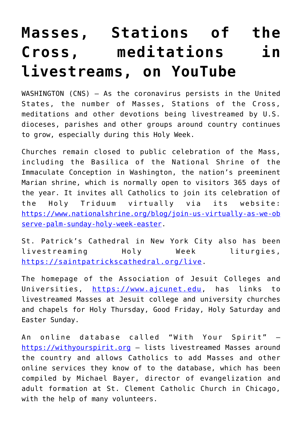## **[Masses, Stations of the](https://www.osvnews.com/2020/03/30/masses-stations-of-the-cross-meditations-in-livestreams-on-youtube/) [Cross, meditations in](https://www.osvnews.com/2020/03/30/masses-stations-of-the-cross-meditations-in-livestreams-on-youtube/) [livestreams, on YouTube](https://www.osvnews.com/2020/03/30/masses-stations-of-the-cross-meditations-in-livestreams-on-youtube/)**

WASHINGTON (CNS) — As the coronavirus persists in the United States, the number of Masses, Stations of the Cross, meditations and other devotions being livestreamed by U.S. dioceses, parishes and other groups around country continues to grow, especially during this Holy Week.

Churches remain closed to public celebration of the Mass, including the Basilica of the National Shrine of the Immaculate Conception in Washington, the nation's preeminent Marian shrine, which is normally open to visitors 365 days of the year. It invites all Catholics to join its celebration of the Holy Triduum virtually via its website: [https://www.nationalshrine.org/blog/join-us-virtually-as-we-ob](https://www.nationalshrine.org/blog/join-us-virtually-as-we-observe-palm-sunday-holy-week-easter) [serve-palm-sunday-holy-week-easter.](https://www.nationalshrine.org/blog/join-us-virtually-as-we-observe-palm-sunday-holy-week-easter)

St. Patrick's Cathedral in New York City also has been livestreaming Holy Week liturgies, <https://saintpatrickscathedral.org/live>.

The homepage of the Association of Jesuit Colleges and Universities, [https://www.ajcunet.edu,](https://www.ajcunet.edu) has links to livestreamed Masses at Jesuit college and university churches and chapels for Holy Thursday, Good Friday, Holy Saturday and Easter Sunday.

An online database called "With Your Spirit" <https://withyourspirit.org> — lists livestreamed Masses around the country and allows Catholics to add Masses and other online services they know of to the database, which has been compiled by Michael Bayer, director of evangelization and adult formation at St. Clement Catholic Church in Chicago, with the help of many volunteers.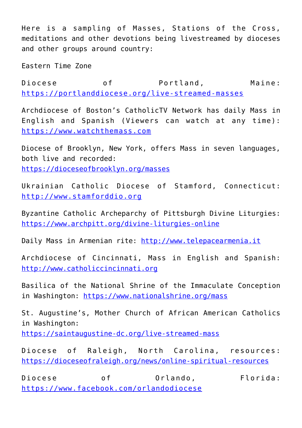Here is a sampling of Masses, Stations of the Cross, meditations and other devotions being livestreamed by dioceses and other groups around country:

Eastern Time Zone

Diocese of Portland, Maine: <https://portlanddiocese.org/live-streamed-masses>

Archdiocese of Boston's CatholicTV Network has daily Mass in English and Spanish (Viewers can watch at any time): <https://www.watchthemass.com>

Diocese of Brooklyn, New York, offers Mass in seven languages, both live and recorded: <https://dioceseofbrooklyn.org/masses>

Ukrainian Catholic Diocese of Stamford, Connecticut: <http://www.stamforddio.org>

Byzantine Catholic Archeparchy of Pittsburgh Divine Liturgies: <https://www.archpitt.org/divine-liturgies-online>

Daily Mass in Armenian rite:<http://www.telepacearmenia.it>

Archdiocese of Cincinnati, Mass in English and Spanish: <http://www.catholiccincinnati.org>

Basilica of the National Shrine of the Immaculate Conception in Washington:<https://www.nationalshrine.org/mass>

St. Augustine's, Mother Church of African American Catholics in Washington: <https://saintaugustine-dc.org/live-streamed-mass>

Diocese of Raleigh, North Carolina, resources: <https://dioceseofraleigh.org/news/online-spiritual-resources>

Diocese of Orlando, Florida: <https://www.facebook.com/orlandodiocese>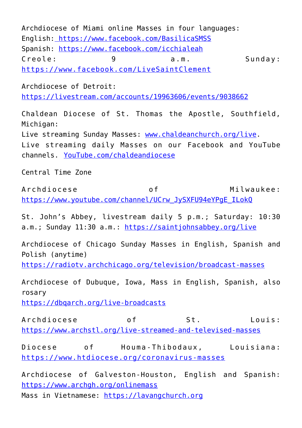Archdiocese of Miami online Masses in four languages: English:<https://www.facebook.com/BasilicaSMSS> Spanish: <https://www.facebook.com/icchialeah> Creole: 9 a.m. Sunday: <https://www.facebook.com/LiveSaintClement>

Archdiocese of Detroit: <https://livestream.com/accounts/19963606/events/9038662>

Chaldean Diocese of St. Thomas the Apostle, Southfield, Michigan: Live streaming Sunday Masses: [www.chaldeanchurch.org/live.](http://www.chaldeanchurch.org/live) Live streaming daily Masses on our Facebook and YouTube channels. [YouTube.com/chaldeandiocese](http://YouTube.com/chaldeandiocese)

Central Time Zone

Archdiocese of Milwaukee: [https://www.youtube.com/channel/UCrw\\_JySXFU94eYPgE\\_ILokQ](https://www.youtube.com/channel/UCrw_JySXFU94eYPgE_ILokQ)

St. John's Abbey, livestream daily 5 p.m.; Saturday: 10:30 a.m.; Sunday 11:30 a.m.: <https://saintjohnsabbey.org/live>

Archdiocese of Chicago Sunday Masses in English, Spanish and Polish (anytime)

<https://radiotv.archchicago.org/television/broadcast-masses>

Archdiocese of Dubuque, Iowa, Mass in English, Spanish, also rosary

<https://dbqarch.org/live-broadcasts>

Archdiocese of St. Louis: <https://www.archstl.org/live-streamed-and-televised-masses>

Diocese of Houma-Thibodaux, Louisiana: <https://www.htdiocese.org/coronavirus-masses>

Archdiocese of Galveston-Houston, English and Spanish: <https://www.archgh.org/onlinemass> Mass in Vietnamese:<https://lavangchurch.org>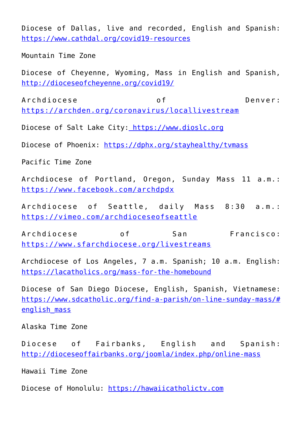Diocese of Dallas, live and recorded, English and Spanish: <https://www.cathdal.org/covid19-resources>

Mountain Time Zone

Diocese of Cheyenne, Wyoming, Mass in English and Spanish, <http://dioceseofcheyenne.org/covid19/>

Archdiocese of Denver: <https://archden.org/coronavirus/locallivestream>

Diocese of Salt Lake City:<https://www.dioslc.org>

Diocese of Phoenix:<https://dphx.org/stayhealthy/tvmass>

Pacific Time Zone

Archdiocese of Portland, Oregon, Sunday Mass 11 a.m.: <https://www.facebook.com/archdpdx>

Archdiocese of Seattle, daily Mass 8:30 a.m.: <https://vimeo.com/archdioceseofseattle>

Archdiocese of San Francisco: <https://www.sfarchdiocese.org/livestreams>

Archdiocese of Los Angeles, 7 a.m. Spanish; 10 a.m. English: <https://lacatholics.org/mass-for-the-homebound>

Diocese of San Diego Diocese, English, Spanish, Vietnamese: [https://www.sdcatholic.org/find-a-parish/on-line-sunday-mass/#](https://www.sdcatholic.org/find-a-parish/on-line-sunday-mass/#english_mass) english mass

Alaska Time Zone

Diocese of Fairbanks, English and Spanish: <http://dioceseoffairbanks.org/joomla/index.php/online-mass>

Hawaii Time Zone

Diocese of Honolulu:<https://hawaiicatholictv.com>